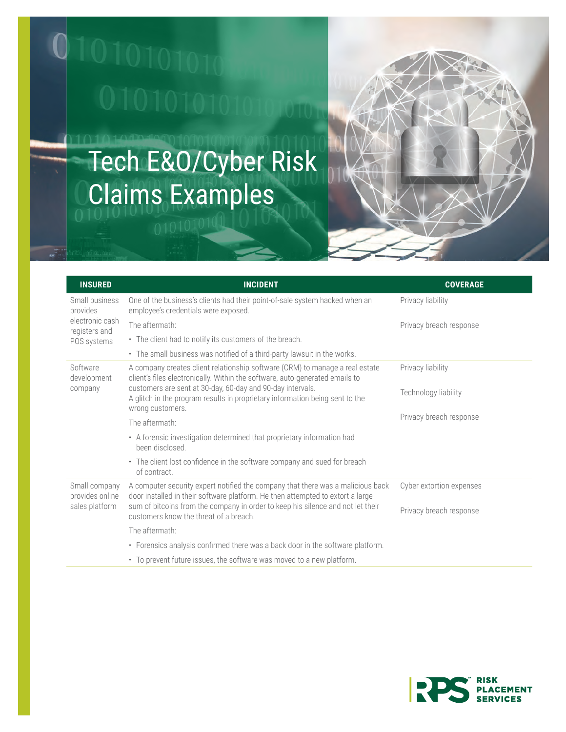

## Tech E&O/Cyber Risk Claims Examples